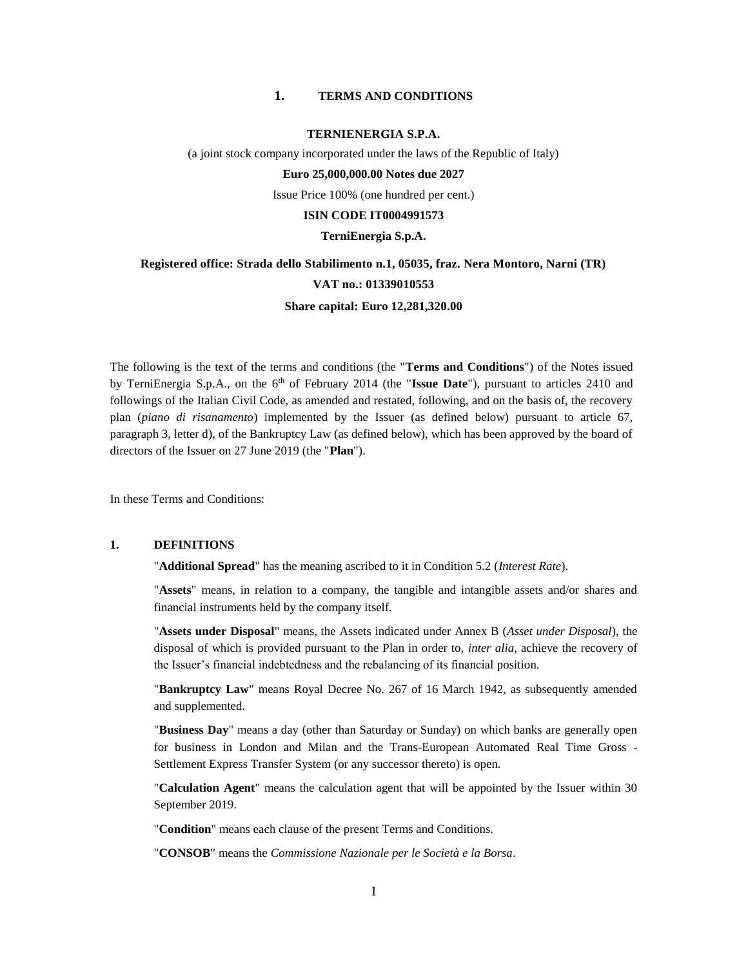#### **1. TERMS AND CONDITIONS**

### **TERNIENERGIA S.P.A.**

(a joint stock company incorporated under the laws of the Republic of Italy)

**Euro 25,000,000.00 Notes due 2027** 

Issue Price 100% (one hundred per cent.)

#### **ISIN CODE IT0004991573**

#### **TerniEnergia S.p.A.**

## **Registered office: Strada dello Stabilimento n.1, 05035, fraz. Nera Montoro, Narni (TR) VAT no.: 01339010553**

#### **Share capital: Euro 12,281,320.00**

The following is the text of the terms and conditions (the "**Terms and Conditions**") of the Notes issued by TerniEnergia S.p.A., on the 6<sup>th</sup> of February 2014 (the "**Issue Date**"), pursuant to articles 2410 and followings of the Italian Civil Code, as amended and restated, following, and on the basis of, the recovery plan (*piano di risanamento*) implemented by the Issuer (as defined below) pursuant to article 67, paragraph 3, letter d), of the Bankruptcy Law (as defined below), which has been approved by the board of directors of the Issuer on 27 June 2019 (the "**Plan**").

In these Terms and Conditions:

### **1. DEFINITIONS**

"**Additional Spread**" has the meaning ascribed to it in Condition 5.2 (*Interest Rate*).

"**Assets**" means, in relation to a company, the tangible and intangible assets and/or shares and financial instruments held by the company itself.

"**Assets under Disposal**" means, the Assets indicated under Annex B (*Asset under Disposal*), the disposal of which is provided pursuant to the Plan in order to, *inter alia*, achieve the recovery of the Issuer's financial indebtedness and the rebalancing of its financial position.

"**Bankruptcy Law**" means Royal Decree No. 267 of 16 March 1942, as subsequently amended and supplemented.

"**Business Day**" means a day (other than Saturday or Sunday) on which banks are generally open for business in London and Milan and the Trans-European Automated Real Time Gross - Settlement Express Transfer System (or any successor thereto) is open.

"**Calculation Agent**" means the calculation agent that will be appointed by the Issuer within 30 September 2019.

"**Condition**" means each clause of the present Terms and Conditions.

"**CONSOB**" means the *Commissione Nazionale per le Società e la Borsa*.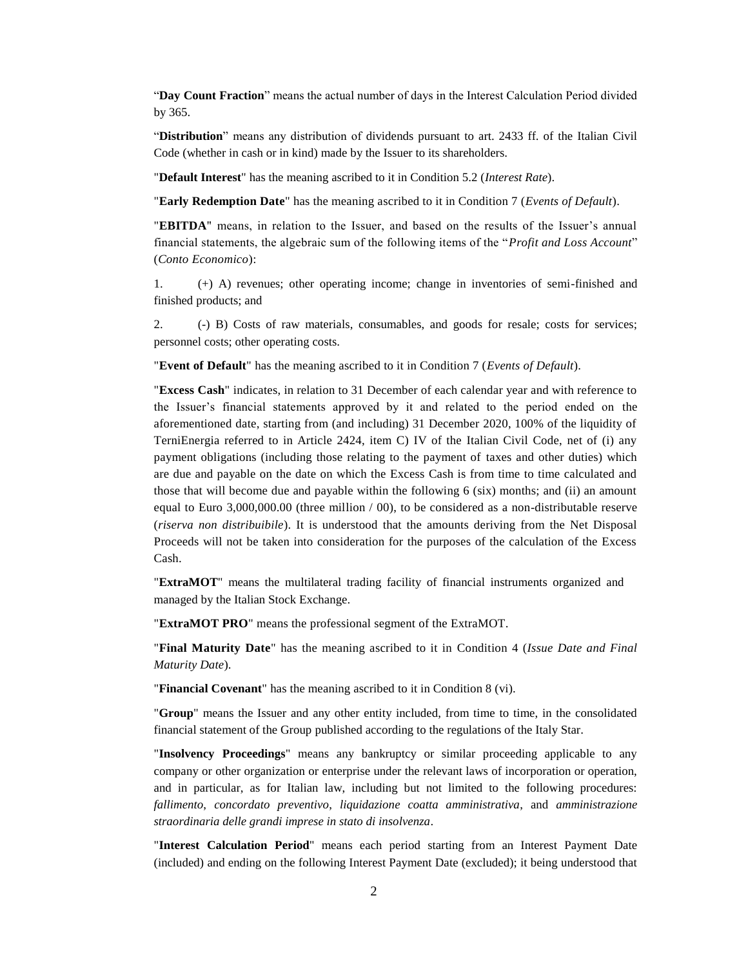"**Day Count Fraction**" means the actual number of days in the Interest Calculation Period divided by 365.

"**Distribution**" means any distribution of dividends pursuant to art. 2433 ff. of the Italian Civil Code (whether in cash or in kind) made by the Issuer to its shareholders.

"**Default Interest**" has the meaning ascribed to it in Condition 5.2 (*Interest Rate*).

"**Early Redemption Date**" has the meaning ascribed to it in Condition 7 (*Events of Default*).

"**EBITDA**" means, in relation to the Issuer, and based on the results of the Issuer's annual financial statements, the algebraic sum of the following items of the "*Profit and Loss Account*" (*Conto Economico*):

1. (+) A) revenues; other operating income; change in inventories of semi-finished and finished products; and

2. (-) B) Costs of raw materials, consumables, and goods for resale; costs for services; personnel costs; other operating costs.

"**Event of Default**" has the meaning ascribed to it in Condition 7 (*Events of Default*).

"**Excess Cash**" indicates, in relation to 31 December of each calendar year and with reference to the Issuer's financial statements approved by it and related to the period ended on the aforementioned date, starting from (and including) 31 December 2020, 100% of the liquidity of TerniEnergia referred to in Article 2424, item C) IV of the Italian Civil Code, net of (i) any payment obligations (including those relating to the payment of taxes and other duties) which are due and payable on the date on which the Excess Cash is from time to time calculated and those that will become due and payable within the following  $6$  (six) months; and (ii) an amount equal to Euro 3,000,000.00 (three million / 00), to be considered as a non-distributable reserve (*riserva non distribuibile*). It is understood that the amounts deriving from the Net Disposal Proceeds will not be taken into consideration for the purposes of the calculation of the Excess Cash.

"**ExtraMOT**" means the multilateral trading facility of financial instruments organized and managed by the Italian Stock Exchange.

"**ExtraMOT PRO**" means the professional segment of the ExtraMOT.

"**Final Maturity Date**" has the meaning ascribed to it in Condition 4 (*Issue Date and Final Maturity Date*).

"**Financial Covenant**" has the meaning ascribed to it in Condition 8 (vi).

"**Group**" means the Issuer and any other entity included, from time to time, in the consolidated financial statement of the Group published according to the regulations of the Italy Star.

"**Insolvency Proceedings**" means any bankruptcy or similar proceeding applicable to any company or other organization or enterprise under the relevant laws of incorporation or operation, and in particular, as for Italian law, including but not limited to the following procedures: *fallimento*, *concordato preventivo*, *liquidazione coatta amministrativa*, and *amministrazione straordinaria delle grandi imprese in stato di insolvenza*.

"**Interest Calculation Period**" means each period starting from an Interest Payment Date (included) and ending on the following Interest Payment Date (excluded); it being understood that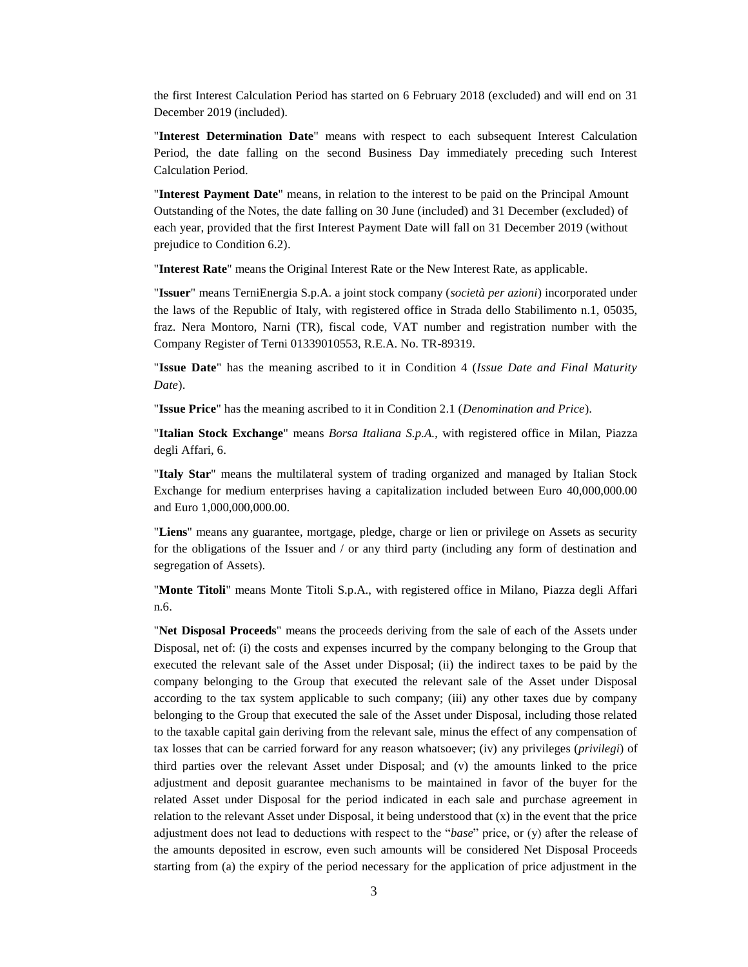the first Interest Calculation Period has started on 6 February 2018 (excluded) and will end on 31 December 2019 (included).

"**Interest Determination Date**" means with respect to each subsequent Interest Calculation Period, the date falling on the second Business Day immediately preceding such Interest Calculation Period.

"**Interest Payment Date**" means, in relation to the interest to be paid on the Principal Amount Outstanding of the Notes, the date falling on 30 June (included) and 31 December (excluded) of each year, provided that the first Interest Payment Date will fall on 31 December 2019 (without prejudice to Condition 6.2).

"**Interest Rate**" means the Original Interest Rate or the New Interest Rate, as applicable.

"**Issuer**" means TerniEnergia S.p.A. a joint stock company (*società per azioni*) incorporated under the laws of the Republic of Italy, with registered office in Strada dello Stabilimento n.1, 05035, fraz. Nera Montoro, Narni (TR), fiscal code, VAT number and registration number with the Company Register of Terni 01339010553, R.E.A. No. TR-89319.

"**Issue Date**" has the meaning ascribed to it in Condition 4 (*Issue Date and Final Maturity Date*).

"**Issue Price**" has the meaning ascribed to it in Condition 2.1 (*Denomination and Price*).

"**Italian Stock Exchange**" means *Borsa Italiana S.p.A.*, with registered office in Milan, Piazza degli Affari, 6.

"**Italy Star**" means the multilateral system of trading organized and managed by Italian Stock Exchange for medium enterprises having a capitalization included between Euro 40,000,000.00 and Euro 1,000,000,000.00.

"**Liens**" means any guarantee, mortgage, pledge, charge or lien or privilege on Assets as security for the obligations of the Issuer and / or any third party (including any form of destination and segregation of Assets).

"**Monte Titoli**" means Monte Titoli S.p.A., with registered office in Milano, Piazza degli Affari n.6.

"**Net Disposal Proceeds**" means the proceeds deriving from the sale of each of the Assets under Disposal, net of: (i) the costs and expenses incurred by the company belonging to the Group that executed the relevant sale of the Asset under Disposal; (ii) the indirect taxes to be paid by the company belonging to the Group that executed the relevant sale of the Asset under Disposal according to the tax system applicable to such company; (iii) any other taxes due by company belonging to the Group that executed the sale of the Asset under Disposal, including those related to the taxable capital gain deriving from the relevant sale, minus the effect of any compensation of tax losses that can be carried forward for any reason whatsoever; (iv) any privileges (*privilegi*) of third parties over the relevant Asset under Disposal; and (v) the amounts linked to the price adjustment and deposit guarantee mechanisms to be maintained in favor of the buyer for the related Asset under Disposal for the period indicated in each sale and purchase agreement in relation to the relevant Asset under Disposal, it being understood that (x) in the event that the price adjustment does not lead to deductions with respect to the "*base*" price, or (y) after the release of the amounts deposited in escrow, even such amounts will be considered Net Disposal Proceeds starting from (a) the expiry of the period necessary for the application of price adjustment in the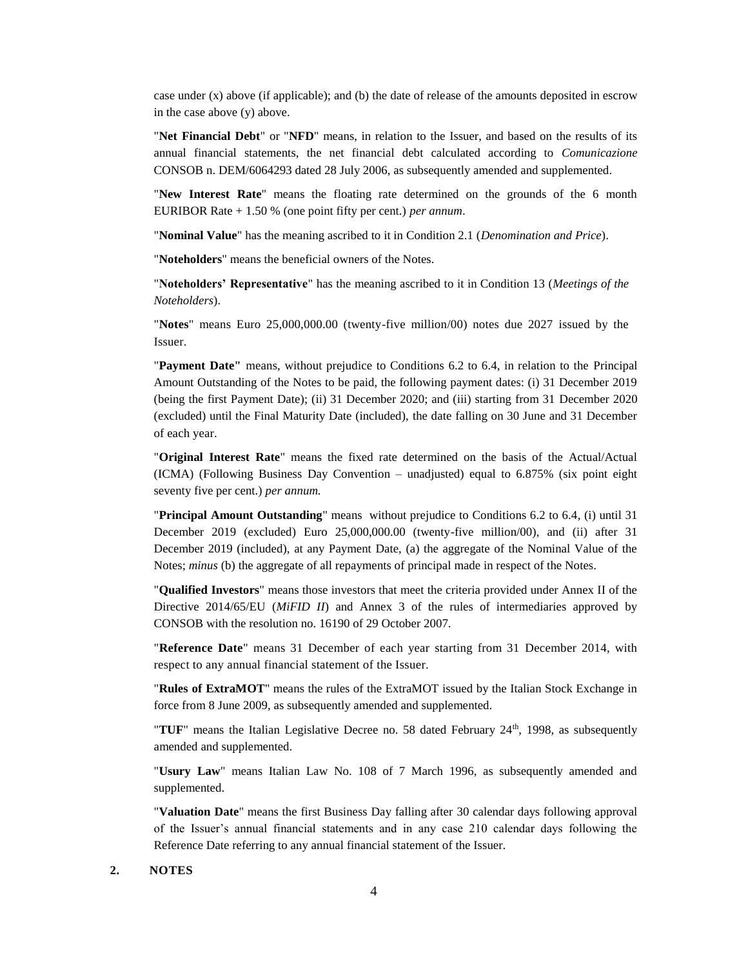case under (x) above (if applicable); and (b) the date of release of the amounts deposited in escrow in the case above (y) above.

"**Net Financial Debt**" or "**NFD**" means, in relation to the Issuer, and based on the results of its annual financial statements, the net financial debt calculated according to *Comunicazione*  CONSOB n. DEM/6064293 dated 28 July 2006, as subsequently amended and supplemented.

"**New Interest Rate**" means the floating rate determined on the grounds of the 6 month EURIBOR Rate + 1.50 % (one point fifty per cent.) *per annum*.

"**Nominal Value**" has the meaning ascribed to it in Condition 2.1 (*Denomination and Price*).

"**Noteholders**" means the beneficial owners of the Notes.

"**Noteholders' Representative**" has the meaning ascribed to it in Condition 13 (*Meetings of the Noteholders*).

"**Notes**" means Euro 25,000,000.00 (twenty-five million/00) notes due 2027 issued by the Issuer.

"**Payment Date"** means, without prejudice to Conditions 6.2 to 6.4, in relation to the Principal Amount Outstanding of the Notes to be paid, the following payment dates: (i) 31 December 2019 (being the first Payment Date); (ii) 31 December 2020; and (iii) starting from 31 December 2020 (excluded) until the Final Maturity Date (included), the date falling on 30 June and 31 December of each year.

"**Original Interest Rate**" means the fixed rate determined on the basis of the Actual/Actual (ICMA) (Following Business Day Convention – unadjusted) equal to 6.875% (six point eight seventy five per cent.) *per annum.*

"**Principal Amount Outstanding**" means without prejudice to Conditions 6.2 to 6.4, (i) until 31 December 2019 (excluded) Euro 25,000,000.00 (twenty-five million/00), and (ii) after 31 December 2019 (included), at any Payment Date, (a) the aggregate of the Nominal Value of the Notes; *minus* (b) the aggregate of all repayments of principal made in respect of the Notes.

"**Qualified Investors**" means those investors that meet the criteria provided under Annex II of the Directive 2014/65/EU (*MiFID II*) and Annex 3 of the rules of intermediaries approved by CONSOB with the resolution no. 16190 of 29 October 2007.

"**Reference Date**" means 31 December of each year starting from 31 December 2014, with respect to any annual financial statement of the Issuer.

"**Rules of ExtraMOT**" means the rules of the ExtraMOT issued by the Italian Stock Exchange in force from 8 June 2009, as subsequently amended and supplemented.

" $\text{TUF}$ " means the Italian Legislative Decree no. 58 dated February 24<sup>th</sup>, 1998, as subsequently amended and supplemented.

"**Usury Law**" means Italian Law No. 108 of 7 March 1996, as subsequently amended and supplemented.

"**Valuation Date**" means the first Business Day falling after 30 calendar days following approval of the Issuer's annual financial statements and in any case 210 calendar days following the Reference Date referring to any annual financial statement of the Issuer.

#### **2. NOTES**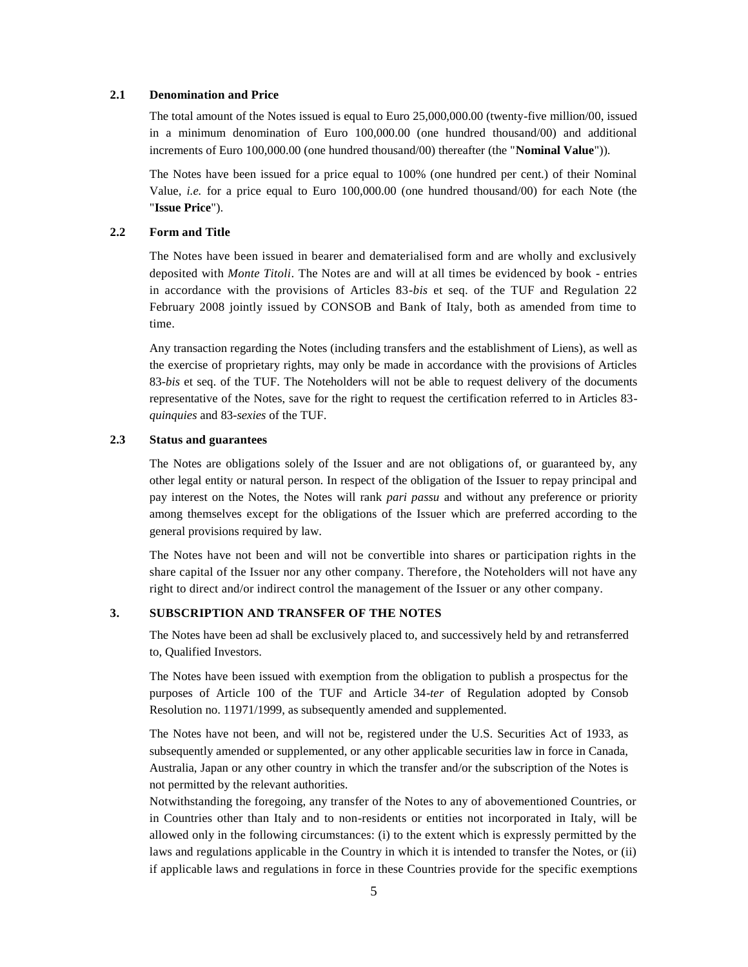### **2.1 Denomination and Price**

The total amount of the Notes issued is equal to Euro 25,000,000.00 (twenty-five million/00, issued in a minimum denomination of Euro 100,000.00 (one hundred thousand/00) and additional increments of Euro 100,000.00 (one hundred thousand/00) thereafter (the "**Nominal Value**")).

The Notes have been issued for a price equal to 100% (one hundred per cent.) of their Nominal Value, *i.e.* for a price equal to Euro 100,000.00 (one hundred thousand/00) for each Note (the "**Issue Price**").

#### **2.2 Form and Title**

The Notes have been issued in bearer and dematerialised form and are wholly and exclusively deposited with *Monte Titoli*. The Notes are and will at all times be evidenced by book - entries in accordance with the provisions of Articles 83-*bis* et seq. of the TUF and Regulation 22 February 2008 jointly issued by CONSOB and Bank of Italy, both as amended from time to time.

Any transaction regarding the Notes (including transfers and the establishment of Liens), as well as the exercise of proprietary rights, may only be made in accordance with the provisions of Articles 83-*bis* et seq. of the TUF. The Noteholders will not be able to request delivery of the documents representative of the Notes, save for the right to request the certification referred to in Articles 83 *quinquies* and 83-*sexies* of the TUF.

### **2.3 Status and guarantees**

The Notes are obligations solely of the Issuer and are not obligations of, or guaranteed by, any other legal entity or natural person. In respect of the obligation of the Issuer to repay principal and pay interest on the Notes, the Notes will rank *pari passu* and without any preference or priority among themselves except for the obligations of the Issuer which are preferred according to the general provisions required by law.

The Notes have not been and will not be convertible into shares or participation rights in the share capital of the Issuer nor any other company. Therefore, the Noteholders will not have any right to direct and/or indirect control the management of the Issuer or any other company.

### **3. SUBSCRIPTION AND TRANSFER OF THE NOTES**

The Notes have been ad shall be exclusively placed to, and successively held by and retransferred to, Qualified Investors.

The Notes have been issued with exemption from the obligation to publish a prospectus for the purposes of Article 100 of the TUF and Article 34-*ter* of Regulation adopted by Consob Resolution no. 11971/1999, as subsequently amended and supplemented.

The Notes have not been, and will not be, registered under the U.S. Securities Act of 1933, as subsequently amended or supplemented, or any other applicable securities law in force in Canada, Australia, Japan or any other country in which the transfer and/or the subscription of the Notes is not permitted by the relevant authorities.

Notwithstanding the foregoing, any transfer of the Notes to any of abovementioned Countries, or in Countries other than Italy and to non-residents or entities not incorporated in Italy, will be allowed only in the following circumstances: (i) to the extent which is expressly permitted by the laws and regulations applicable in the Country in which it is intended to transfer the Notes, or (ii) if applicable laws and regulations in force in these Countries provide for the specific exemptions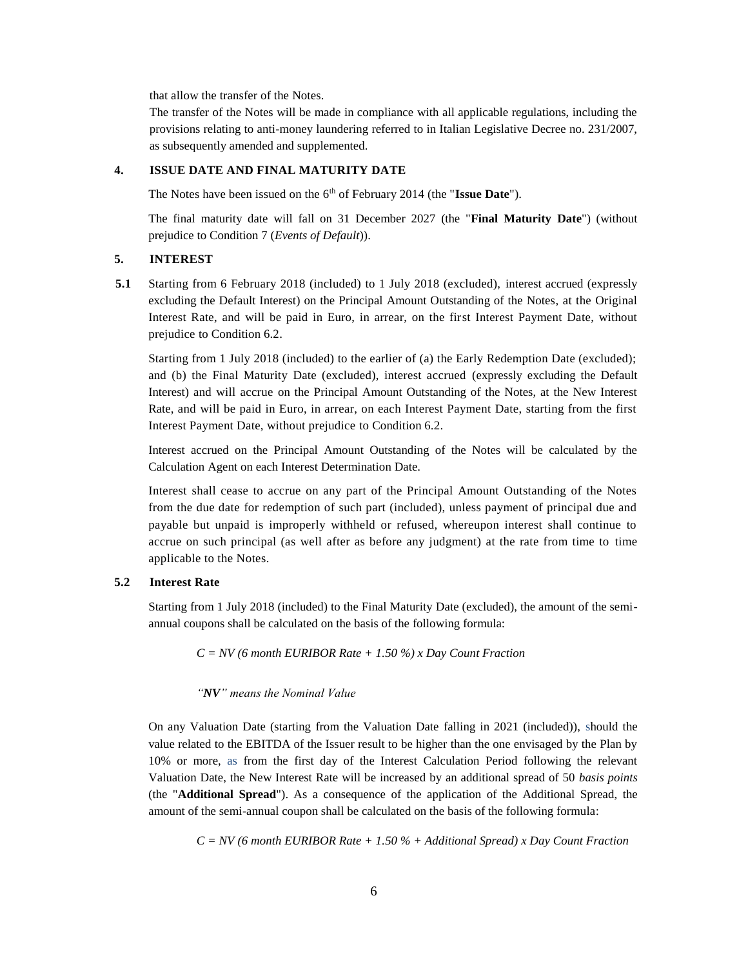that allow the transfer of the Notes.

The transfer of the Notes will be made in compliance with all applicable regulations, including the provisions relating to anti-money laundering referred to in Italian Legislative Decree no. 231/2007, as subsequently amended and supplemented.

#### **4. ISSUE DATE AND FINAL MATURITY DATE**

The Notes have been issued on the 6th of February 2014 (the "**Issue Date**").

The final maturity date will fall on 31 December 2027 (the "**Final Maturity Date**") (without prejudice to Condition 7 (*Events of Default*)).

### **5. INTEREST**

**5.1** Starting from 6 February 2018 (included) to 1 July 2018 (excluded), interest accrued (expressly excluding the Default Interest) on the Principal Amount Outstanding of the Notes, at the Original Interest Rate, and will be paid in Euro, in arrear, on the first Interest Payment Date, without prejudice to Condition 6.2.

Starting from 1 July 2018 (included) to the earlier of (a) the Early Redemption Date (excluded); and (b) the Final Maturity Date (excluded), interest accrued (expressly excluding the Default Interest) and will accrue on the Principal Amount Outstanding of the Notes, at the New Interest Rate, and will be paid in Euro, in arrear, on each Interest Payment Date, starting from the first Interest Payment Date, without prejudice to Condition 6.2.

Interest accrued on the Principal Amount Outstanding of the Notes will be calculated by the Calculation Agent on each Interest Determination Date.

Interest shall cease to accrue on any part of the Principal Amount Outstanding of the Notes from the due date for redemption of such part (included), unless payment of principal due and payable but unpaid is improperly withheld or refused, whereupon interest shall continue to accrue on such principal (as well after as before any judgment) at the rate from time to time applicable to the Notes.

#### **5.2 Interest Rate**

Starting from 1 July 2018 (included) to the Final Maturity Date (excluded), the amount of the semiannual coupons shall be calculated on the basis of the following formula:

*C = NV (6 month EURIBOR Rate + 1.50 %) x Day Count Fraction*

### *"NV" means the Nominal Value*

On any Valuation Date (starting from the Valuation Date falling in 2021 (included)), should the value related to the EBITDA of the Issuer result to be higher than the one envisaged by the Plan by 10% or more, as from the first day of the Interest Calculation Period following the relevant Valuation Date, the New Interest Rate will be increased by an additional spread of 50 *basis points* (the "**Additional Spread**"). As a consequence of the application of the Additional Spread, the amount of the semi-annual coupon shall be calculated on the basis of the following formula:

*C = NV (6 month EURIBOR Rate + 1.50 % + Additional Spread) x Day Count Fraction*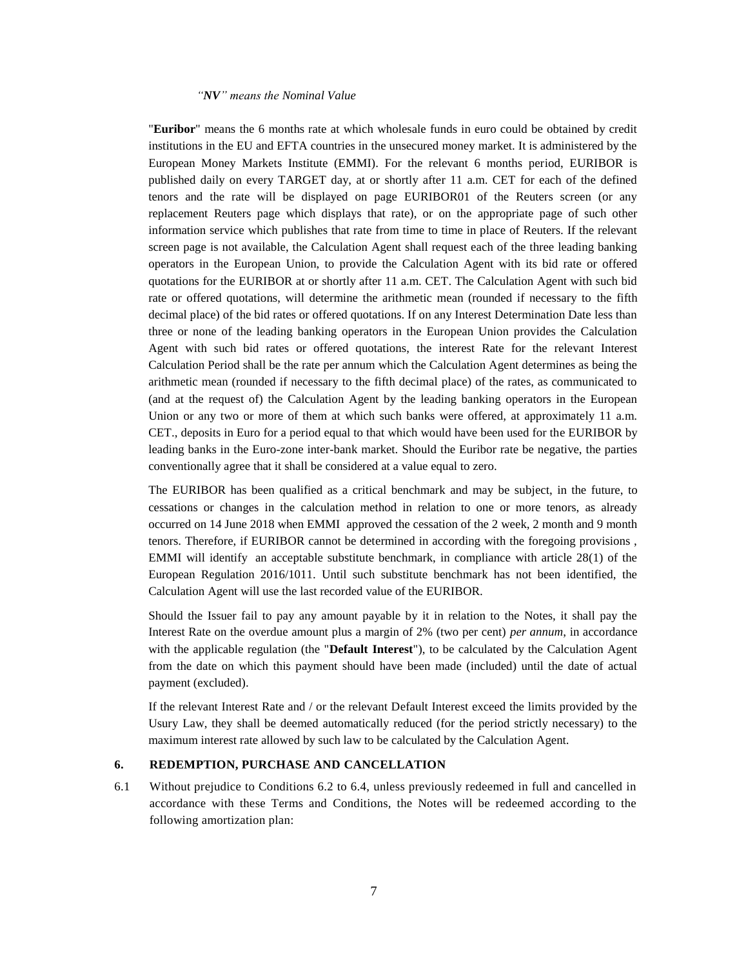#### *"NV" means the Nominal Value*

"**Euribor**" means the 6 months rate at which wholesale funds in euro could be obtained by credit institutions in the EU and EFTA countries in the unsecured money market. It is administered by the European Money Markets Institute (EMMI). For the relevant 6 months period, EURIBOR is published daily on every TARGET day, at or shortly after 11 a.m. CET for each of the defined tenors and the rate will be displayed on page EURIBOR01 of the Reuters screen (or any replacement Reuters page which displays that rate), or on the appropriate page of such other information service which publishes that rate from time to time in place of Reuters. If the relevant screen page is not available, the Calculation Agent shall request each of the three leading banking operators in the European Union, to provide the Calculation Agent with its bid rate or offered quotations for the EURIBOR at or shortly after 11 a.m. CET. The Calculation Agent with such bid rate or offered quotations, will determine the arithmetic mean (rounded if necessary to the fifth decimal place) of the bid rates or offered quotations. If on any Interest Determination Date less than three or none of the leading banking operators in the European Union provides the Calculation Agent with such bid rates or offered quotations, the interest Rate for the relevant Interest Calculation Period shall be the rate per annum which the Calculation Agent determines as being the arithmetic mean (rounded if necessary to the fifth decimal place) of the rates, as communicated to (and at the request of) the Calculation Agent by the leading banking operators in the European Union or any two or more of them at which such banks were offered, at approximately 11 a.m. CET., deposits in Euro for a period equal to that which would have been used for the EURIBOR by leading banks in the Euro-zone inter-bank market. Should the Euribor rate be negative, the parties conventionally agree that it shall be considered at a value equal to zero.

The EURIBOR has been qualified as a critical benchmark and may be subject, in the future, to cessations or changes in the calculation method in relation to one or more tenors, as already occurred on 14 June 2018 when EMMI approved the cessation of the 2 week, 2 month and 9 month tenors. Therefore, if EURIBOR cannot be determined in according with the foregoing provisions , EMMI will identify an acceptable substitute benchmark, in compliance with article 28(1) of the European Regulation 2016/1011. Until such substitute benchmark has not been identified, the Calculation Agent will use the last recorded value of the EURIBOR.

Should the Issuer fail to pay any amount payable by it in relation to the Notes, it shall pay the Interest Rate on the overdue amount plus a margin of 2% (two per cent) *per annum*, in accordance with the applicable regulation (the "**Default Interest**"), to be calculated by the Calculation Agent from the date on which this payment should have been made (included) until the date of actual payment (excluded).

If the relevant Interest Rate and / or the relevant Default Interest exceed the limits provided by the Usury Law, they shall be deemed automatically reduced (for the period strictly necessary) to the maximum interest rate allowed by such law to be calculated by the Calculation Agent.

### **6. REDEMPTION, PURCHASE AND CANCELLATION**

6.1 Without prejudice to Conditions 6.2 to 6.4, unless previously redeemed in full and cancelled in accordance with these Terms and Conditions, the Notes will be redeemed according to the following amortization plan: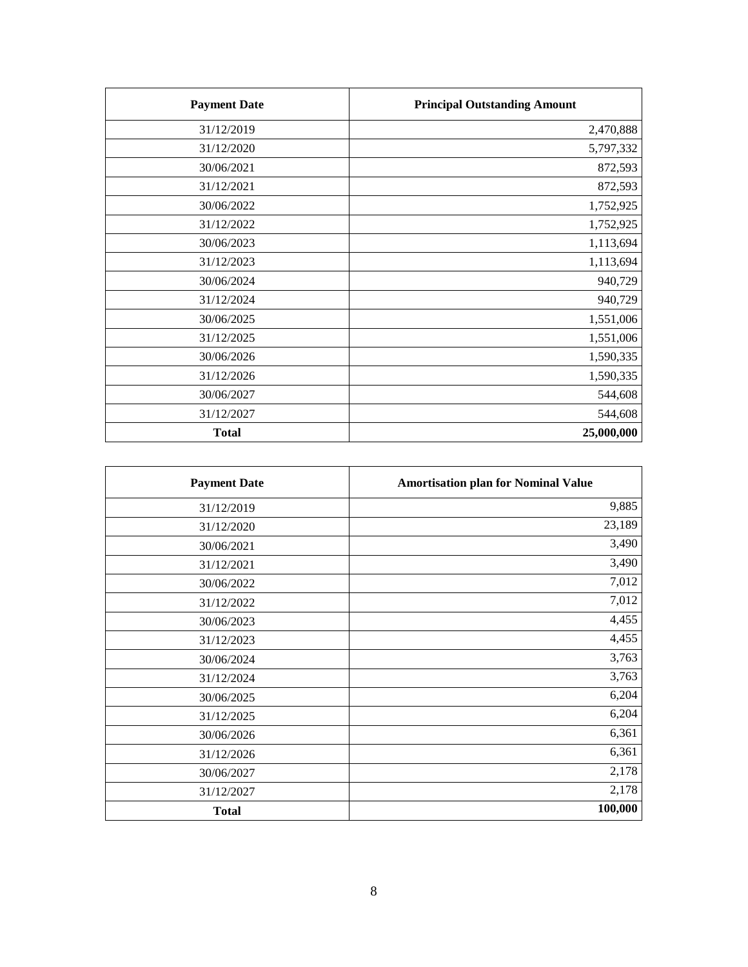| <b>Payment Date</b> | <b>Principal Outstanding Amount</b> |
|---------------------|-------------------------------------|
| 31/12/2019          | 2,470,888                           |
| 31/12/2020          | 5,797,332                           |
| 30/06/2021          | 872,593                             |
| 31/12/2021          | 872,593                             |
| 30/06/2022          | 1,752,925                           |
| 31/12/2022          | 1,752,925                           |
| 30/06/2023          | 1,113,694                           |
| 31/12/2023          | 1,113,694                           |
| 30/06/2024          | 940,729                             |
| 31/12/2024          | 940,729                             |
| 30/06/2025          | 1,551,006                           |
| 31/12/2025          | 1,551,006                           |
| 30/06/2026          | 1,590,335                           |
| 31/12/2026          | 1,590,335                           |
| 30/06/2027          | 544,608                             |
| 31/12/2027          | 544,608                             |
| <b>Total</b>        | 25,000,000                          |

| <b>Payment Date</b> | <b>Amortisation plan for Nominal Value</b> |
|---------------------|--------------------------------------------|
| 31/12/2019          | 9,885                                      |
| 31/12/2020          | 23,189                                     |
| 30/06/2021          | 3,490                                      |
| 31/12/2021          | 3,490                                      |
| 30/06/2022          | 7,012                                      |
| 31/12/2022          | 7,012                                      |
| 30/06/2023          | 4,455                                      |
| 31/12/2023          | 4,455                                      |
| 30/06/2024          | 3,763                                      |
| 31/12/2024          | 3,763                                      |
| 30/06/2025          | 6,204                                      |
| 31/12/2025          | 6,204                                      |
| 30/06/2026          | 6,361                                      |
| 31/12/2026          | 6,361                                      |
| 30/06/2027          | 2,178                                      |
| 31/12/2027          | 2,178                                      |
| <b>Total</b>        | 100,000                                    |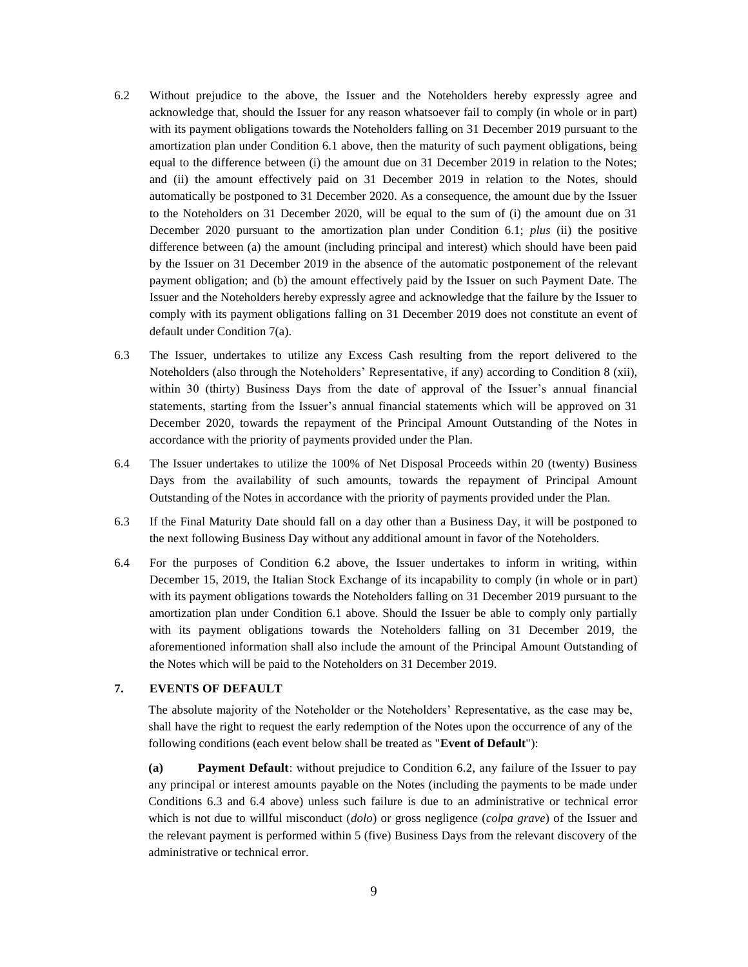- 6.2 Without prejudice to the above, the Issuer and the Noteholders hereby expressly agree and acknowledge that, should the Issuer for any reason whatsoever fail to comply (in whole or in part) with its payment obligations towards the Noteholders falling on 31 December 2019 pursuant to the amortization plan under Condition 6.1 above, then the maturity of such payment obligations, being equal to the difference between (i) the amount due on 31 December 2019 in relation to the Notes; and (ii) the amount effectively paid on 31 December 2019 in relation to the Notes, should automatically be postponed to 31 December 2020. As a consequence, the amount due by the Issuer to the Noteholders on 31 December 2020, will be equal to the sum of (i) the amount due on 31 December 2020 pursuant to the amortization plan under Condition 6.1; *plus* (ii) the positive difference between (a) the amount (including principal and interest) which should have been paid by the Issuer on 31 December 2019 in the absence of the automatic postponement of the relevant payment obligation; and (b) the amount effectively paid by the Issuer on such Payment Date. The Issuer and the Noteholders hereby expressly agree and acknowledge that the failure by the Issuer to comply with its payment obligations falling on 31 December 2019 does not constitute an event of default under Condition 7(a).
- 6.3 The Issuer, undertakes to utilize any Excess Cash resulting from the report delivered to the Noteholders (also through the Noteholders' Representative, if any) according to Condition 8 (xii), within 30 (thirty) Business Days from the date of approval of the Issuer's annual financial statements, starting from the Issuer's annual financial statements which will be approved on 31 December 2020, towards the repayment of the Principal Amount Outstanding of the Notes in accordance with the priority of payments provided under the Plan.
- 6.4 The Issuer undertakes to utilize the 100% of Net Disposal Proceeds within 20 (twenty) Business Days from the availability of such amounts, towards the repayment of Principal Amount Outstanding of the Notes in accordance with the priority of payments provided under the Plan.
- 6.3 If the Final Maturity Date should fall on a day other than a Business Day, it will be postponed to the next following Business Day without any additional amount in favor of the Noteholders.
- 6.4 For the purposes of Condition 6.2 above, the Issuer undertakes to inform in writing, within December 15, 2019, the Italian Stock Exchange of its incapability to comply (in whole or in part) with its payment obligations towards the Noteholders falling on 31 December 2019 pursuant to the amortization plan under Condition 6.1 above. Should the Issuer be able to comply only partially with its payment obligations towards the Noteholders falling on 31 December 2019, the aforementioned information shall also include the amount of the Principal Amount Outstanding of the Notes which will be paid to the Noteholders on 31 December 2019.

#### **7. EVENTS OF DEFAULT**

The absolute majority of the Noteholder or the Noteholders' Representative, as the case may be, shall have the right to request the early redemption of the Notes upon the occurrence of any of the following conditions (each event below shall be treated as "**Event of Default**"):

**(a) Payment Default**: without prejudice to Condition 6.2, any failure of the Issuer to pay any principal or interest amounts payable on the Notes (including the payments to be made under Conditions 6.3 and 6.4 above) unless such failure is due to an administrative or technical error which is not due to willful misconduct (*dolo*) or gross negligence (*colpa grave*) of the Issuer and the relevant payment is performed within 5 (five) Business Days from the relevant discovery of the administrative or technical error.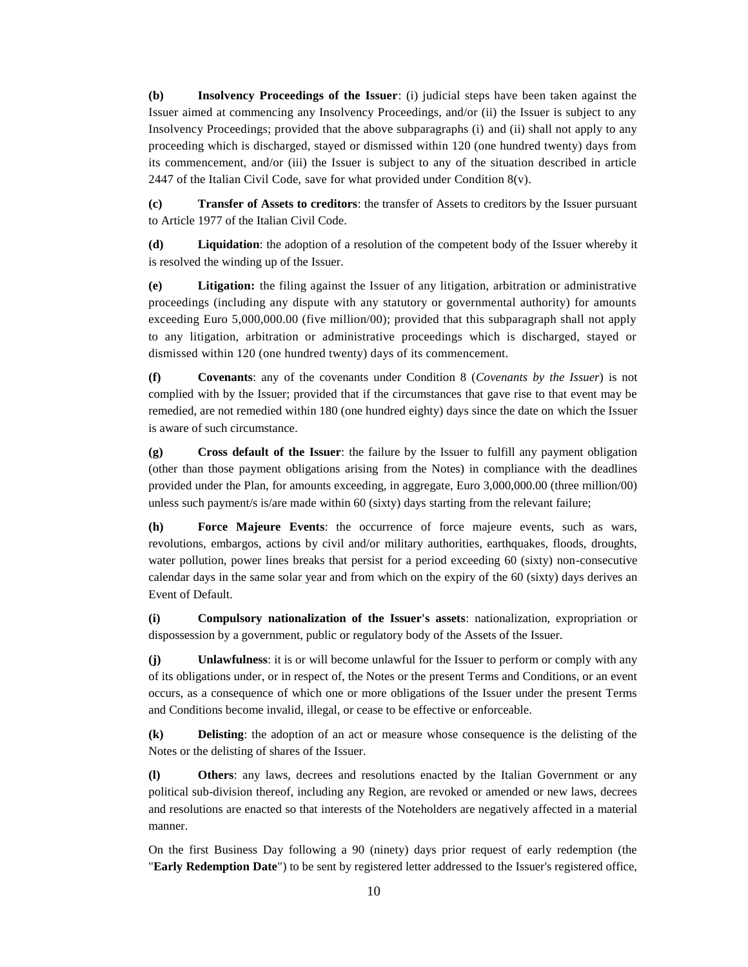**(b) Insolvency Proceedings of the Issuer**: (i) judicial steps have been taken against the Issuer aimed at commencing any Insolvency Proceedings, and/or (ii) the Issuer is subject to any Insolvency Proceedings; provided that the above subparagraphs (i) and (ii) shall not apply to any proceeding which is discharged, stayed or dismissed within 120 (one hundred twenty) days from its commencement, and/or (iii) the Issuer is subject to any of the situation described in article 2447 of the Italian Civil Code, save for what provided under Condition  $8(v)$ .

**(c) Transfer of Assets to creditors**: the transfer of Assets to creditors by the Issuer pursuant to Article 1977 of the Italian Civil Code.

**(d) Liquidation**: the adoption of a resolution of the competent body of the Issuer whereby it is resolved the winding up of the Issuer.

**(e) Litigation:** the filing against the Issuer of any litigation, arbitration or administrative proceedings (including any dispute with any statutory or governmental authority) for amounts exceeding Euro 5,000,000.00 (five million/00); provided that this subparagraph shall not apply to any litigation, arbitration or administrative proceedings which is discharged, stayed or dismissed within 120 (one hundred twenty) days of its commencement.

**(f) Covenants**: any of the covenants under Condition 8 (*Covenants by the Issuer*) is not complied with by the Issuer; provided that if the circumstances that gave rise to that event may be remedied, are not remedied within 180 (one hundred eighty) days since the date on which the Issuer is aware of such circumstance.

**(g) Cross default of the Issuer**: the failure by the Issuer to fulfill any payment obligation (other than those payment obligations arising from the Notes) in compliance with the deadlines provided under the Plan, for amounts exceeding, in aggregate, Euro 3,000,000.00 (three million/00) unless such payment/s is/are made within 60 (sixty) days starting from the relevant failure;

**(h) Force Majeure Events**: the occurrence of force majeure events, such as wars, revolutions, embargos, actions by civil and/or military authorities, earthquakes, floods, droughts, water pollution, power lines breaks that persist for a period exceeding 60 (sixty) non-consecutive calendar days in the same solar year and from which on the expiry of the 60 (sixty) days derives an Event of Default.

**(i) Compulsory nationalization of the Issuer's assets**: nationalization, expropriation or dispossession by a government, public or regulatory body of the Assets of the Issuer.

**(j) Unlawfulness**: it is or will become unlawful for the Issuer to perform or comply with any of its obligations under, or in respect of, the Notes or the present Terms and Conditions, or an event occurs, as a consequence of which one or more obligations of the Issuer under the present Terms and Conditions become invalid, illegal, or cease to be effective or enforceable.

**(k) Delisting**: the adoption of an act or measure whose consequence is the delisting of the Notes or the delisting of shares of the Issuer.

**(l) Others**: any laws, decrees and resolutions enacted by the Italian Government or any political sub-division thereof, including any Region, are revoked or amended or new laws, decrees and resolutions are enacted so that interests of the Noteholders are negatively affected in a material manner.

On the first Business Day following a 90 (ninety) days prior request of early redemption (the "**Early Redemption Date**") to be sent by registered letter addressed to the Issuer's registered office,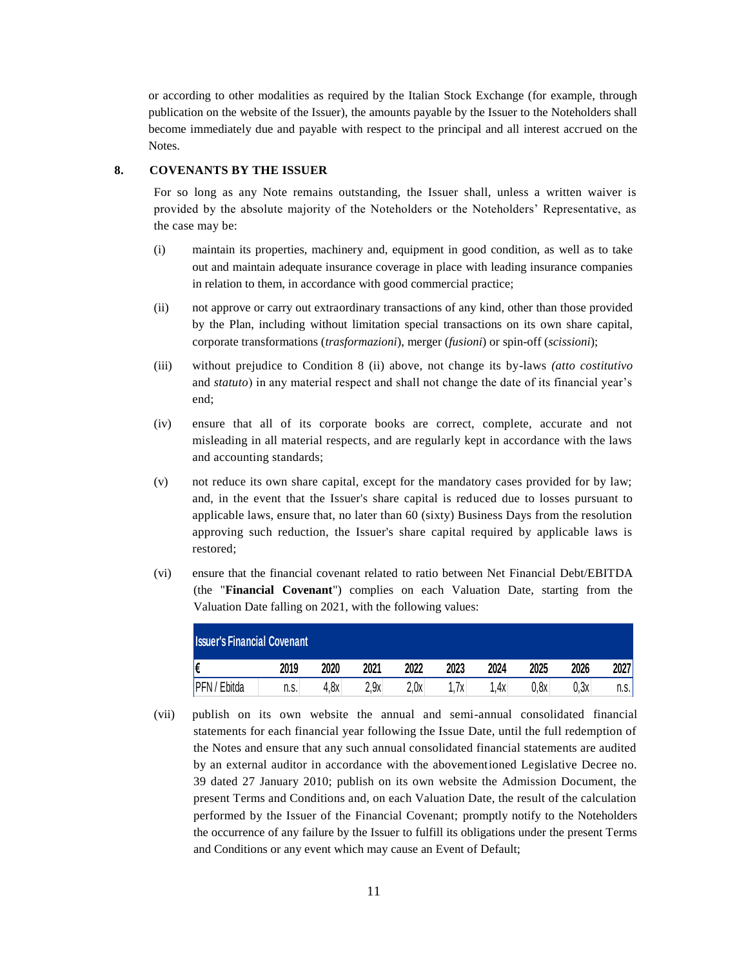or according to other modalities as required by the Italian Stock Exchange (for example, through publication on the website of the Issuer), the amounts payable by the Issuer to the Noteholders shall become immediately due and payable with respect to the principal and all interest accrued on the Notes.

#### **8. COVENANTS BY THE ISSUER**

For so long as any Note remains outstanding, the Issuer shall, unless a written waiver is provided by the absolute majority of the Noteholders or the Noteholders' Representative, as the case may be:

- (i) maintain its properties, machinery and, equipment in good condition, as well as to take out and maintain adequate insurance coverage in place with leading insurance companies in relation to them, in accordance with good commercial practice;
- (ii) not approve or carry out extraordinary transactions of any kind, other than those provided by the Plan, including without limitation special transactions on its own share capital, corporate transformations (*trasformazioni*), merger (*fusioni*) or spin-off (*scissioni*);
- (iii) without prejudice to Condition 8 (ii) above, not change its by-laws *(atto costitutivo*  and *statuto*) in any material respect and shall not change the date of its financial year's end;
- (iv) ensure that all of its corporate books are correct, complete, accurate and not misleading in all material respects, and are regularly kept in accordance with the laws and accounting standards;
- (v) not reduce its own share capital, except for the mandatory cases provided for by law; and, in the event that the Issuer's share capital is reduced due to losses pursuant to applicable laws, ensure that, no later than 60 (sixty) Business Days from the resolution approving such reduction, the Issuer's share capital required by applicable laws is restored;
- (vi) ensure that the financial covenant related to ratio between Net Financial Debt/EBITDA (the "**Financial Covenant**") complies on each Valuation Date, starting from the Valuation Date falling on 2021, with the following values:

| <b>Issuer's Financial Covenant</b> |      |      |      |      |      |      |      |      |       |
|------------------------------------|------|------|------|------|------|------|------|------|-------|
| I€                                 | 2019 | 2020 | 2021 | 2022 | 2023 | 2024 | 2025 | 2026 | 2027  |
| <b>PFN</b> / Ebitda                | n.s. | 4.8x | 2,9x | 2,0x | 7х.  | 1.4x | 0,8x | 0,3x | n.s.l |

(vii) publish on its own website the annual and semi-annual consolidated financial statements for each financial year following the Issue Date, until the full redemption of the Notes and ensure that any such annual consolidated financial statements are audited by an external auditor in accordance with the abovementioned Legislative Decree no. 39 dated 27 January 2010; publish on its own website the Admission Document, the present Terms and Conditions and, on each Valuation Date, the result of the calculation performed by the Issuer of the Financial Covenant; promptly notify to the Noteholders the occurrence of any failure by the Issuer to fulfill its obligations under the present Terms and Conditions or any event which may cause an Event of Default;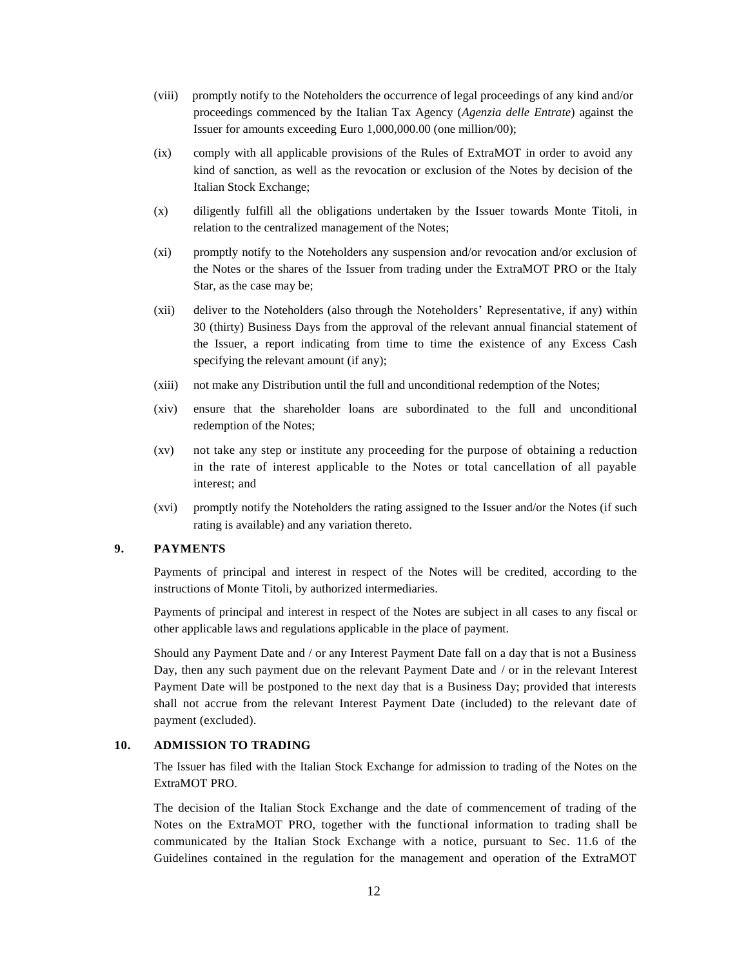- (viii) promptly notify to the Noteholders the occurrence of legal proceedings of any kind and/or proceedings commenced by the Italian Tax Agency (*Agenzia delle Entrate*) against the Issuer for amounts exceeding Euro 1,000,000.00 (one million/00);
- (ix) comply with all applicable provisions of the Rules of ExtraMOT in order to avoid any kind of sanction, as well as the revocation or exclusion of the Notes by decision of the Italian Stock Exchange;
- (x) diligently fulfill all the obligations undertaken by the Issuer towards Monte Titoli, in relation to the centralized management of the Notes;
- (xi) promptly notify to the Noteholders any suspension and/or revocation and/or exclusion of the Notes or the shares of the Issuer from trading under the ExtraMOT PRO or the Italy Star, as the case may be;
- (xii) deliver to the Noteholders (also through the Noteholders' Representative, if any) within 30 (thirty) Business Days from the approval of the relevant annual financial statement of the Issuer, a report indicating from time to time the existence of any Excess Cash specifying the relevant amount (if any);
- (xiii) not make any Distribution until the full and unconditional redemption of the Notes;
- (xiv) ensure that the shareholder loans are subordinated to the full and unconditional redemption of the Notes;
- (xv) not take any step or institute any proceeding for the purpose of obtaining a reduction in the rate of interest applicable to the Notes or total cancellation of all payable interest; and
- (xvi) promptly notify the Noteholders the rating assigned to the Issuer and/or the Notes (if such rating is available) and any variation thereto.

### **9. PAYMENTS**

Payments of principal and interest in respect of the Notes will be credited, according to the instructions of Monte Titoli, by authorized intermediaries.

Payments of principal and interest in respect of the Notes are subject in all cases to any fiscal or other applicable laws and regulations applicable in the place of payment.

Should any Payment Date and / or any Interest Payment Date fall on a day that is not a Business Day, then any such payment due on the relevant Payment Date and / or in the relevant Interest Payment Date will be postponed to the next day that is a Business Day; provided that interests shall not accrue from the relevant Interest Payment Date (included) to the relevant date of payment (excluded).

### **10. ADMISSION TO TRADING**

The Issuer has filed with the Italian Stock Exchange for admission to trading of the Notes on the ExtraMOT PRO.

The decision of the Italian Stock Exchange and the date of commencement of trading of the Notes on the ExtraMOT PRO, together with the functional information to trading shall be communicated by the Italian Stock Exchange with a notice, pursuant to Sec. 11.6 of the Guidelines contained in the regulation for the management and operation of the ExtraMOT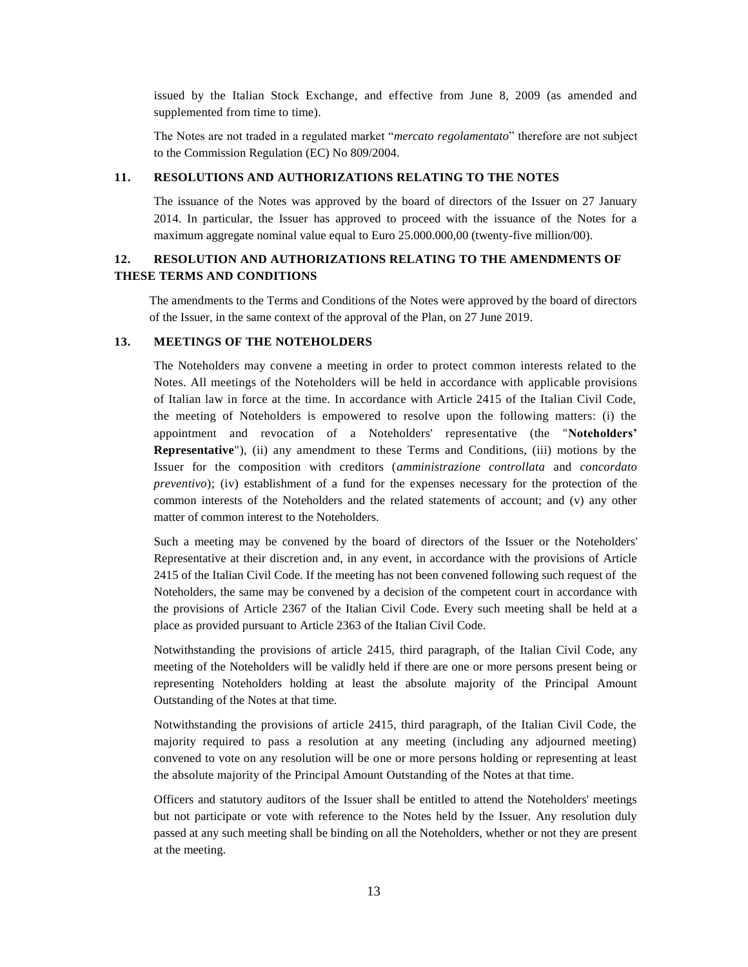issued by the Italian Stock Exchange, and effective from June 8, 2009 (as amended and supplemented from time to time).

The Notes are not traded in a regulated market "*mercato regolamentato*" therefore are not subject to the Commission Regulation (EC) No 809/2004.

### **11. RESOLUTIONS AND AUTHORIZATIONS RELATING TO THE NOTES**

The issuance of the Notes was approved by the board of directors of the Issuer on 27 January 2014. In particular, the Issuer has approved to proceed with the issuance of the Notes for a maximum aggregate nominal value equal to Euro 25.000.000,00 (twenty-five million/00).

## **12. RESOLUTION AND AUTHORIZATIONS RELATING TO THE AMENDMENTS OF THESE TERMS AND CONDITIONS**

The amendments to the Terms and Conditions of the Notes were approved by the board of directors of the Issuer, in the same context of the approval of the Plan, on 27 June 2019.

### **13. MEETINGS OF THE NOTEHOLDERS**

The Noteholders may convene a meeting in order to protect common interests related to the Notes. All meetings of the Noteholders will be held in accordance with applicable provisions of Italian law in force at the time. In accordance with Article 2415 of the Italian Civil Code, the meeting of Noteholders is empowered to resolve upon the following matters: (i) the appointment and revocation of a Noteholders' representative (the "**Noteholders' Representative**"), (ii) any amendment to these Terms and Conditions, (iii) motions by the Issuer for the composition with creditors (*amministrazione controllata* and *concordato preventivo*); (iv) establishment of a fund for the expenses necessary for the protection of the common interests of the Noteholders and the related statements of account; and (v) any other matter of common interest to the Noteholders.

Such a meeting may be convened by the board of directors of the Issuer or the Noteholders' Representative at their discretion and, in any event, in accordance with the provisions of Article 2415 of the Italian Civil Code. If the meeting has not been convened following such request of the Noteholders, the same may be convened by a decision of the competent court in accordance with the provisions of Article 2367 of the Italian Civil Code. Every such meeting shall be held at a place as provided pursuant to Article 2363 of the Italian Civil Code.

Notwithstanding the provisions of article 2415, third paragraph, of the Italian Civil Code, any meeting of the Noteholders will be validly held if there are one or more persons present being or representing Noteholders holding at least the absolute majority of the Principal Amount Outstanding of the Notes at that time.

Notwithstanding the provisions of article 2415, third paragraph, of the Italian Civil Code, the majority required to pass a resolution at any meeting (including any adjourned meeting) convened to vote on any resolution will be one or more persons holding or representing at least the absolute majority of the Principal Amount Outstanding of the Notes at that time.

Officers and statutory auditors of the Issuer shall be entitled to attend the Noteholders' meetings but not participate or vote with reference to the Notes held by the Issuer. Any resolution duly passed at any such meeting shall be binding on all the Noteholders, whether or not they are present at the meeting.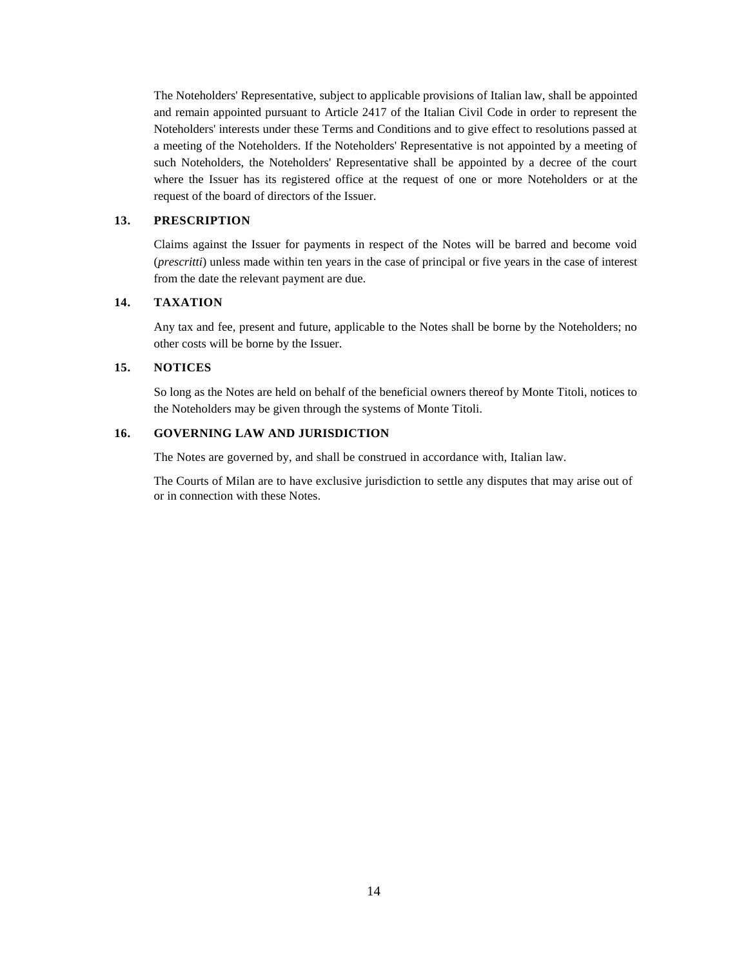The Noteholders' Representative, subject to applicable provisions of Italian law, shall be appointed and remain appointed pursuant to Article 2417 of the Italian Civil Code in order to represent the Noteholders' interests under these Terms and Conditions and to give effect to resolutions passed at a meeting of the Noteholders. If the Noteholders' Representative is not appointed by a meeting of such Noteholders, the Noteholders' Representative shall be appointed by a decree of the court where the Issuer has its registered office at the request of one or more Noteholders or at the request of the board of directors of the Issuer.

#### **13. PRESCRIPTION**

Claims against the Issuer for payments in respect of the Notes will be barred and become void (*prescritti*) unless made within ten years in the case of principal or five years in the case of interest from the date the relevant payment are due.

## **14. TAXATION**

Any tax and fee, present and future, applicable to the Notes shall be borne by the Noteholders; no other costs will be borne by the Issuer.

### **15. NOTICES**

So long as the Notes are held on behalf of the beneficial owners thereof by Monte Titoli, notices to the Noteholders may be given through the systems of Monte Titoli.

### **16. GOVERNING LAW AND JURISDICTION**

The Notes are governed by, and shall be construed in accordance with, Italian law.

The Courts of Milan are to have exclusive jurisdiction to settle any disputes that may arise out of or in connection with these Notes.